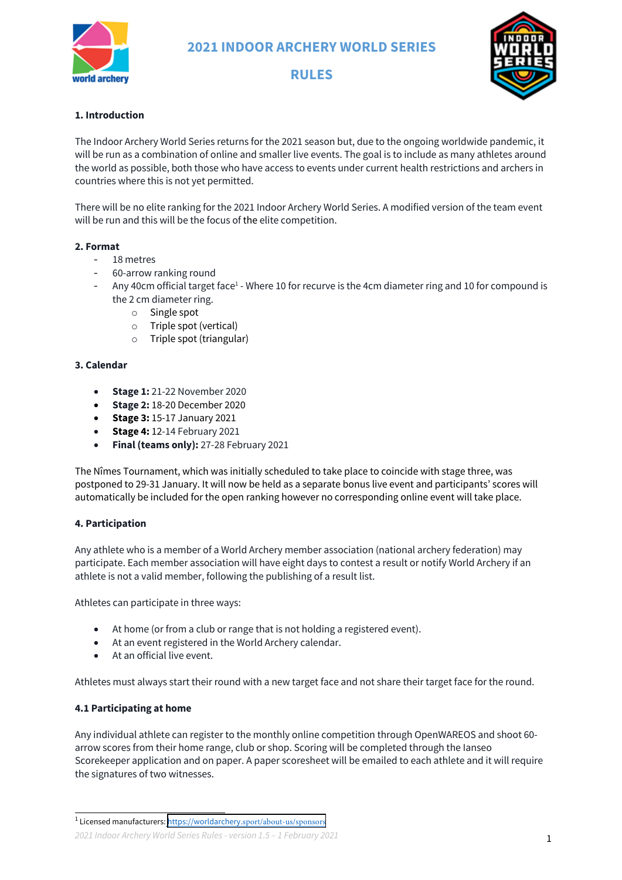

**RULES**



## **1. Introduction**

The Indoor Archery World Series returns for the 2021 season but, due to the ongoing worldwide pandemic, it will be run as a combination of online and smaller live events. The goal is to include as many athletes around the world as possible, both those who have access to events under current health restrictions and archers in countries where this is not yet permitted.

There will be no elite ranking for the 2021 Indoor Archery World Series. A modified version of the team event will be run and this will be the focus of the elite competition.

## **2. Format**

- 18 metres
- 60-arrow ranking round
- Any 40cm official target face<sup>1</sup> Where 10 for recurve is the 4cm diameter ring and 10 for compound is the 2 cm diameter ring.
	- o Single spot
	- o Triple spot (vertical)
	- o Triple spot (triangular)

### **3. Calendar**

- **Stage 1:** 21-22 November 2020
- **Stage 2:** 18-20 December 2020
- **Stage 3:** 15-17 January 2021
- **Stage 4:** 12-14 February 2021
- **Final (teams only):** 27-28 February 2021

The Nîmes Tournament, which was initially scheduled to take place to coincide with stage three, was postponed to 29-31 January. It will now be held as a separate bonus live event and participants' scores will automatically be included for the open ranking however no corresponding online event will take place.

#### **4. Participation**

Any athlete who is a member of a World Archery member association (national archery federation) may participate. Each member association will have eight days to contest a result or notify World Archery if an athlete is not a valid member, following the publishing of a result list.

Athletes can participate in three ways:

- At home (or from a club or range that is not holding a registered event).
- At an event registered in the World Archery calendar.
- At an official live event.

Athletes must always start their round with a new target face and not share their target face for the round.

## **4.1 Participating at home**

Any individual athlete can register to the monthly online competition through OpenWAREOS and shoot 60 arrow scores from their home range, club or shop. Scoring will be completed through the Ianseo Scorekeeper application and on paper. A paper scoresheet will be emailed to each athlete and it will require the signatures of two witnesses.

<sup>&</sup>lt;sup>1</sup> Licensed manufacturers: https://worldarchery.[sport/about-us/sponsors](https://worldarchery.sport/about-us/sponsors)

*<sup>2021</sup> Indoor Archery World Series Rules - version 1.5 – 1 February 2021*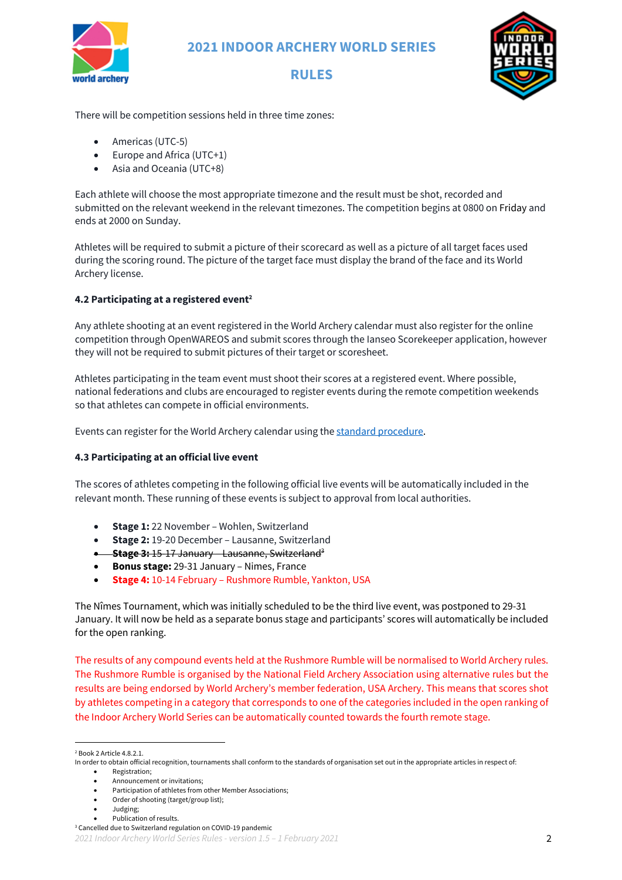

# **RULES**



There will be competition sessions held in three time zones:

- Americas (UTC-5)
- Europe and Africa (UTC+1)
- Asia and Oceania (UTC+8)

Each athlete will choose the most appropriate timezone and the result must be shot, recorded and submitted on the relevant weekend in the relevant timezones. The competition begins at 0800 on Friday and ends at 2000 on Sunday.

Athletes will be required to submit a picture of their scorecard as well as a picture of all target faces used during the scoring round. The picture of the target face must display the brand of the face and its World Archery license.

#### **4.2 Participating at a registered event2**

Any athlete shooting at an event registered in the World Archery calendar must also register for the online competition through OpenWAREOS and submit scores through the Ianseo Scorekeeper application, however they will not be required to submit pictures of their target or scoresheet.

Athletes participating in the team event must shoot their scores at a registered event. Where possible, national federations and clubs are encouraged to register events during the remote competition weekends so that athletes can compete in official environments.

Events can register for the World Archery calendar using the standard procedure.

#### **4.3 Participating at an official live event**

The scores of athletes competing in the following official live events will be automatically included in the relevant month. These running of these events is subject to approval from local authorities.

- **Stage 1:** 22 November Wohlen, Switzerland
- **Stage 2:** 19-20 December Lausanne, Switzerland
- **Stage 3:** 15-17 January Lausanne, Switzerland3
- **Bonus stage:** 29-31 January Nimes, France
- **Stage 4:** 10-14 February Rushmore Rumble, Yankton, USA

The Nîmes Tournament, which was initially scheduled to be the third live event, was postponed to 29-31 January. It will now be held as a separate bonus stage and participants' scores will automatically be included for the open ranking.

The results of any compound events held at the Rushmore Rumble will be normalised to World Archery rules. The Rushmore Rumble is organised by the National Field Archery Association using alternative rules but the results are being endorsed by World Archery's member federation, USA Archery. This means that scores shot by athletes competing in a category that corresponds to one of the categories included in the open ranking of the Indoor Archery World Series can be automatically counted towards the fourth remote stage.

• Announcement or invitations;

- Order of shooting (target/group list);
- Judging;
- Publication of results.

<sup>2</sup> Book 2 Article 4.8.2.1.

In order to obtain official recognition, tournaments shall conform to the standards of organisation set out in the appropriate articles in respect of: • Registration;

<sup>•</sup> Participation of athletes from other Member Associations;

*<sup>2021</sup> Indoor Archery World Series Rules - version 1.5 – 1 February 2021* 2 <sup>3</sup> Cancelled due to Switzerland regulation on COVID-19 pandemic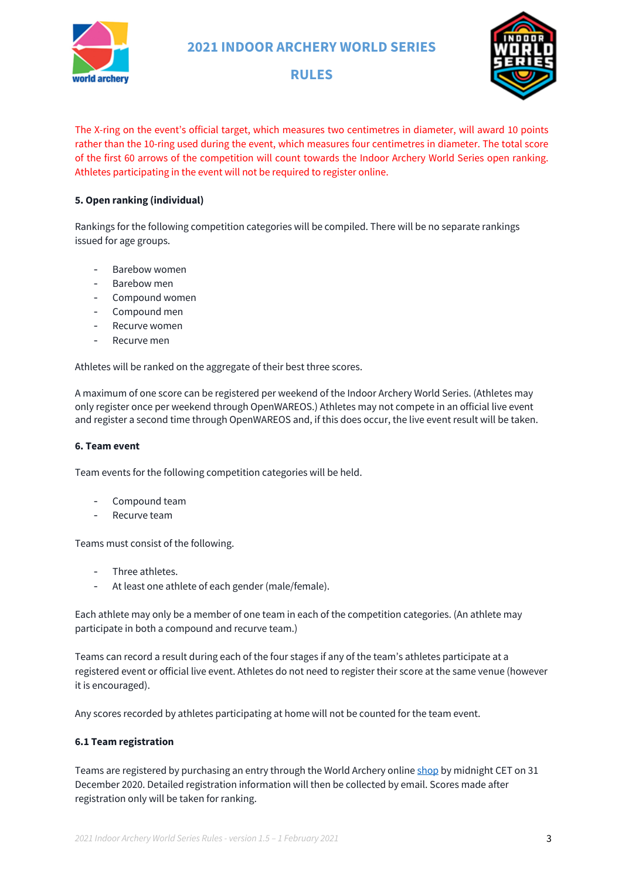

# **RULES**



The X-ring on the event's official target, which measures two centimetres in diameter, will award 10 points rather than the 10-ring used during the event, which measures four centimetres in diameter. The total score of the first 60 arrows of the competition will count towards the Indoor Archery World Series open ranking. Athletes participating in the event will not be required to register online.

### **5. Open ranking (individual)**

Rankings for the following competition categories will be compiled. There will be no separate rankings issued for age groups.

- Barebow women
- Barebow men
- Compound women
- Compound men
- Recurve women
- Recurve men

Athletes will be ranked on the aggregate of their best three scores.

A maximum of one score can be registered per weekend of the Indoor Archery World Series. (Athletes may only register once per weekend through OpenWAREOS.) Athletes may not compete in an official live event and register a second time through OpenWAREOS and, if this does occur, the live event result will be taken.

#### **6. Team event**

Team events for the following competition categories will be held.

- Compound team
- Recurve team

Teams must consist of the following.

- Three athletes.
- At least one athlete of each gender (male/female).

Each athlete may only be a member of one team in each of the competition categories. (An athlete may participate in both a compound and recurve team.)

Teams can record a result during each of the four stages if any of the team's athletes participate at a registered event or official live event. Athletes do not need to register their score at the same venue (however it is encouraged).

Any scores recorded by athletes participating at home will not be counted for the team event.

#### **6.1 Team registration**

Teams are registered by purchasing an entry through the World Archery online shop by midnight CET on 31 December 2020. Detailed registration information will then be collected by email. Scores made after registration only will be taken for ranking.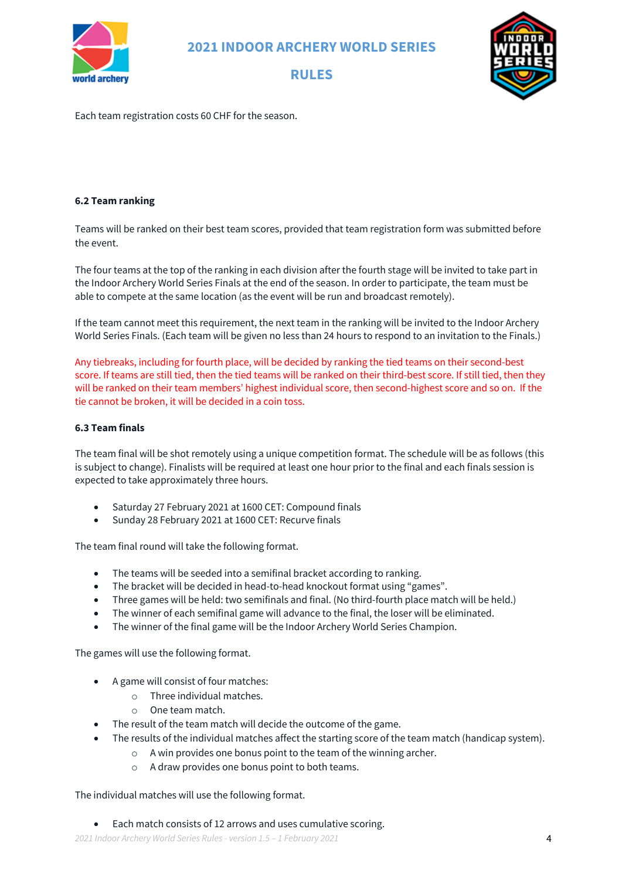





Each team registration costs 60 CHF for the season.

#### **6.2 Team ranking**

Teams will be ranked on their best team scores, provided that team registration form was submitted before the event.

The four teams at the top of the ranking in each division after the fourth stage will be invited to take part in the Indoor Archery World Series Finals at the end of the season. In order to participate, the team must be able to compete at the same location (as the event will be run and broadcast remotely).

If the team cannot meet this requirement, the next team in the ranking will be invited to the Indoor Archery World Series Finals. (Each team will be given no less than 24 hours to respond to an invitation to the Finals.)

Any tiebreaks, including for fourth place, will be decided by ranking the tied teams on their second-best score. If teams are still tied, then the tied teams will be ranked on their third-best score. If still tied, then they will be ranked on their team members' highest individual score, then second-highest score and so on. If the tie cannot be broken, it will be decided in a coin toss.

#### **6.3 Team finals**

The team final will be shot remotely using a unique competition format. The schedule will be as follows (this is subject to change). Finalists will be required at least one hour prior to the final and each finals session is expected to take approximately three hours.

- Saturday 27 February 2021 at 1600 CET: Compound finals
- Sunday 28 February 2021 at 1600 CET: Recurve finals

The team final round will take the following format.

- The teams will be seeded into a semifinal bracket according to ranking.
- The bracket will be decided in head-to-head knockout format using "games".
- Three games will be held: two semifinals and final. (No third-fourth place match will be held.)
- The winner of each semifinal game will advance to the final, the loser will be eliminated.
- The winner of the final game will be the Indoor Archery World Series Champion.

The games will use the following format.

- A game will consist of four matches:
	- o Three individual matches.
	- o One team match.
- The result of the team match will decide the outcome of the game.
- The results of the individual matches affect the starting score of the team match (handicap system).
	- o A win provides one bonus point to the team of the winning archer.
	- o A draw provides one bonus point to both teams.

The individual matches will use the following format.

• Each match consists of 12 arrows and uses cumulative scoring.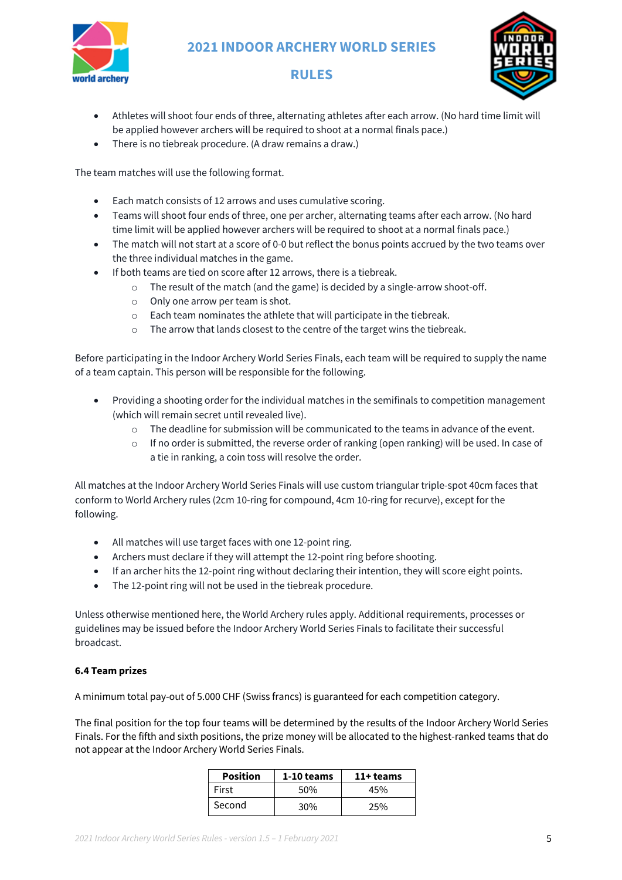

# **RULES**



- Athletes will shoot four ends of three, alternating athletes after each arrow. (No hard time limit will be applied however archers will be required to shoot at a normal finals pace.)
- There is no tiebreak procedure. (A draw remains a draw.)

The team matches will use the following format.

- Each match consists of 12 arrows and uses cumulative scoring.
- Teams will shoot four ends of three, one per archer, alternating teams after each arrow. (No hard time limit will be applied however archers will be required to shoot at a normal finals pace.)
- The match will not start at a score of 0-0 but reflect the bonus points accrued by the two teams over the three individual matches in the game.
- If both teams are tied on score after 12 arrows, there is a tiebreak.
	- o The result of the match (and the game) is decided by a single-arrow shoot-off.
	- o Only one arrow per team is shot.
	- o Each team nominates the athlete that will participate in the tiebreak.
	- o The arrow that lands closest to the centre of the target wins the tiebreak.

Before participating in the Indoor Archery World Series Finals, each team will be required to supply the name of a team captain. This person will be responsible for the following.

- Providing a shooting order for the individual matches in the semifinals to competition management (which will remain secret until revealed live).
	- o The deadline for submission will be communicated to the teams in advance of the event.
	- $\circ$  If no order is submitted, the reverse order of ranking (open ranking) will be used. In case of a tie in ranking, a coin toss will resolve the order.

All matches at the Indoor Archery World Series Finals will use custom triangular triple-spot 40cm faces that conform to World Archery rules (2cm 10-ring for compound, 4cm 10-ring for recurve), except for the following.

- All matches will use target faces with one 12-point ring.
- Archers must declare if they will attempt the 12-point ring before shooting.
- If an archer hits the 12-point ring without declaring their intention, they will score eight points.
- The 12-point ring will not be used in the tiebreak procedure.

Unless otherwise mentioned here, the World Archery rules apply. Additional requirements, processes or guidelines may be issued before the Indoor Archery World Series Finals to facilitate their successful broadcast.

#### **6.4 Team prizes**

A minimum total pay-out of 5.000 CHF (Swiss francs) is guaranteed for each competition category.

The final position for the top four teams will be determined by the results of the Indoor Archery World Series Finals. For the fifth and sixth positions, the prize money will be allocated to the highest-ranked teams that do not appear at the Indoor Archery World Series Finals.

| <b>Position</b> | 1-10 teams | 11+ teams |
|-----------------|------------|-----------|
| First           | 50%        | 45%       |
| Second          | 30%        | 25%       |